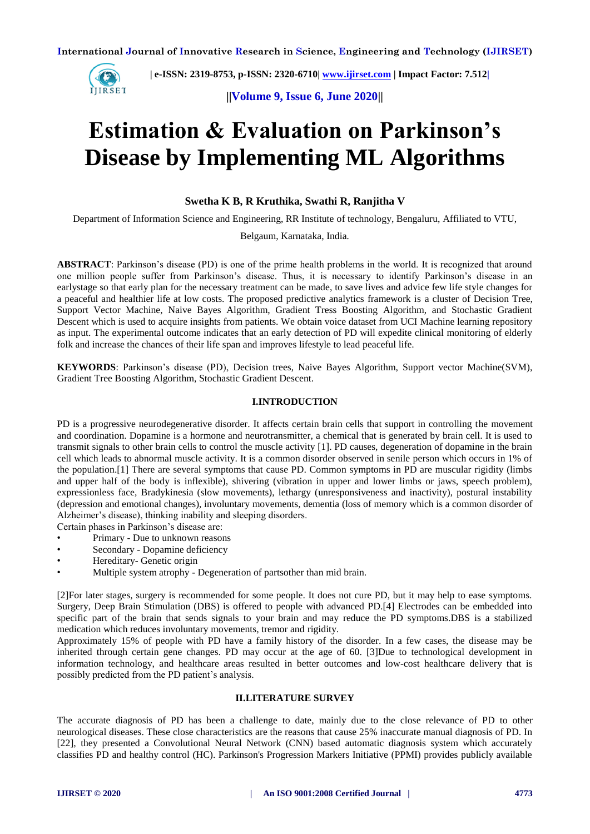

 **| e-ISSN: 2319-8753, p-ISSN: 2320-6710| [www.ijirset.com](http://www.ijirset.com/) | Impact Factor: 7.512|**

**||Volume 9, Issue 6, June 2020||** 

# **Estimation & Evaluation on Parkinson's Disease by Implementing ML Algorithms**

# **Swetha K B, R Kruthika, Swathi R, Ranjitha V**

Department of Information Science and Engineering, RR Institute of technology, Bengaluru, Affiliated to VTU,

Belgaum, Karnataka, India*.*

**ABSTRACT**: Parkinson's disease (PD) is one of the prime health problems in the world. It is recognized that around one million people suffer from Parkinson's disease. Thus, it is necessary to identify Parkinson's disease in an earlystage so that early plan for the necessary treatment can be made, to save lives and advice few life style changes for a peaceful and healthier life at low costs. The proposed predictive analytics framework is a cluster of Decision Tree, Support Vector Machine, Naive Bayes Algorithm, Gradient Tress Boosting Algorithm, and Stochastic Gradient Descent which is used to acquire insights from patients. We obtain voice dataset from UCI Machine learning repository as input. The experimental outcome indicates that an early detection of PD will expedite clinical monitoring of elderly folk and increase the chances of their life span and improves lifestyle to lead peaceful life.

**KEYWORDS**: Parkinson's disease (PD), Decision trees, Naive Bayes Algorithm, Support vector Machine(SVM), Gradient Tree Boosting Algorithm, Stochastic Gradient Descent.

# **I.INTRODUCTION**

PD is a progressive neurodegenerative disorder. It affects certain brain cells that support in controlling the movement and coordination. Dopamine is a hormone and neurotransmitter, a chemical that is generated by brain cell. It is used to transmit signals to other brain cells to control the muscle activity [1]. PD causes, degeneration of dopamine in the brain cell which leads to abnormal muscle activity. It is a common disorder observed in senile person which occurs in 1% of the population.[1] There are several symptoms that cause PD. Common symptoms in PD are muscular rigidity (limbs and upper half of the body is inflexible), shivering (vibration in upper and lower limbs or jaws, speech problem), expressionless face, Bradykinesia (slow movements), lethargy (unresponsiveness and inactivity), postural instability (depression and emotional changes), involuntary movements, dementia (loss of memory which is a common disorder of Alzheimer's disease), thinking inability and sleeping disorders.

Certain phases in Parkinson's disease are:

- Primary Due to unknown reasons
- Secondary Dopamine deficiency
- Hereditary- Genetic origin
- Multiple system atrophy Degeneration of partsother than mid brain.

[2]For later stages, surgery is recommended for some people. It does not cure PD, but it may help to ease symptoms. Surgery, Deep Brain Stimulation (DBS) is offered to people with advanced PD.[4] Electrodes can be embedded into specific part of the brain that sends signals to your brain and may reduce the PD symptoms.DBS is a stabilized medication which reduces involuntary movements, tremor and rigidity.

Approximately 15% of people with PD have a family history of the disorder. In a few cases, the disease may be inherited through certain gene changes. PD may occur at the age of 60. [3]Due to technological development in information technology, and healthcare areas resulted in better outcomes and low-cost healthcare delivery that is possibly predicted from the PD patient's analysis.

# **II.LITERATURE SURVEY**

The accurate diagnosis of PD has been a challenge to date, mainly due to the close relevance of PD to other neurological diseases. These close characteristics are the reasons that cause 25% inaccurate manual diagnosis of PD. In [22], they presented a Convolutional Neural Network (CNN) based automatic diagnosis system which accurately classifies PD and healthy control (HC). Parkinson's Progression Markers Initiative (PPMI) provides publicly available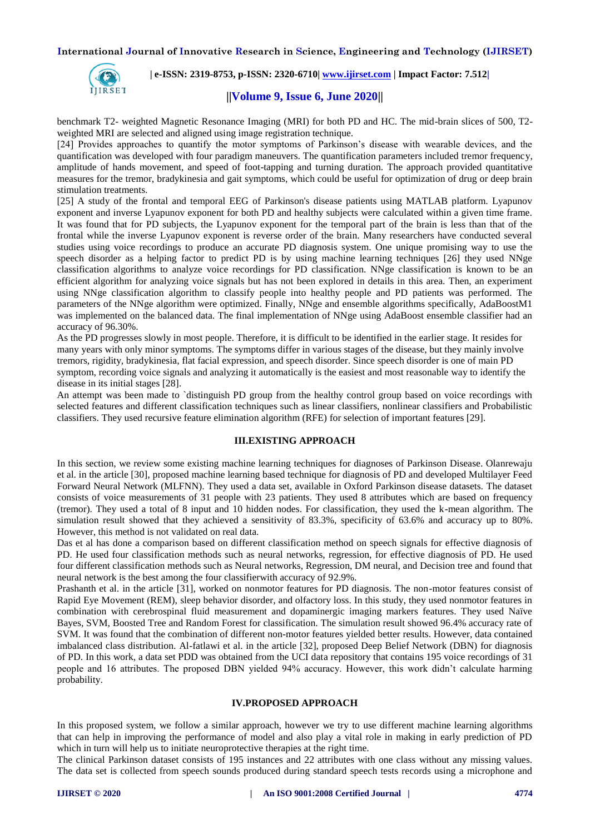

 **| e-ISSN: 2319-8753, p-ISSN: 2320-6710| [www.ijirset.com](http://www.ijirset.com/) | Impact Factor: 7.512|**

## **||Volume 9, Issue 6, June 2020||**

benchmark T2- weighted Magnetic Resonance Imaging (MRI) for both PD and HC. The mid-brain slices of 500, T2 weighted MRI are selected and aligned using image registration technique.

[24] Provides approaches to quantify the motor symptoms of Parkinson's disease with wearable devices, and the quantification was developed with four paradigm maneuvers. The quantification parameters included tremor frequency, amplitude of hands movement, and speed of foot-tapping and turning duration. The approach provided quantitative measures for the tremor, bradykinesia and gait symptoms, which could be useful for optimization of drug or deep brain stimulation treatments.

[25] A study of the frontal and temporal EEG of Parkinson's disease patients using MATLAB platform. Lyapunov exponent and inverse Lyapunov exponent for both PD and healthy subjects were calculated within a given time frame. It was found that for PD subjects, the Lyapunov exponent for the temporal part of the brain is less than that of the frontal while the inverse Lyapunov exponent is reverse order of the brain. Many researchers have conducted several studies using voice recordings to produce an accurate PD diagnosis system. One unique promising way to use the speech disorder as a helping factor to predict PD is by using machine learning techniques [26] they used NNge classification algorithms to analyze voice recordings for PD classification. NNge classification is known to be an efficient algorithm for analyzing voice signals but has not been explored in details in this area. Then, an experiment using NNge classification algorithm to classify people into healthy people and PD patients was performed. The parameters of the NNge algorithm were optimized. Finally, NNge and ensemble algorithms specifically, AdaBoostM1 was implemented on the balanced data. The final implementation of NNge using AdaBoost ensemble classifier had an accuracy of 96.30%.

As the PD progresses slowly in most people. Therefore, it is difficult to be identified in the earlier stage. It resides for many years with only minor symptoms. The symptoms differ in various stages of the disease, but they mainly involve tremors, rigidity, bradykinesia, flat facial expression, and speech disorder. Since speech disorder is one of main PD symptom, recording voice signals and analyzing it automatically is the easiest and most reasonable way to identify the disease in its initial stages [28].

An attempt was been made to `distinguish PD group from the healthy control group based on voice recordings with selected features and different classification techniques such as linear classifiers, nonlinear classifiers and Probabilistic classifiers. They used recursive feature elimination algorithm (RFE) for selection of important features [29].

# **III.EXISTING APPROACH**

In this section, we review some existing machine learning techniques for diagnoses of Parkinson Disease. Olanrewaju et al. in the article [30], proposed machine learning based technique for diagnosis of PD and developed Multilayer Feed Forward Neural Network (MLFNN). They used a data set, available in Oxford Parkinson disease datasets. The dataset consists of voice measurements of 31 people with 23 patients. They used 8 attributes which are based on frequency (tremor). They used a total of 8 input and 10 hidden nodes. For classification, they used the k-mean algorithm. The simulation result showed that they achieved a sensitivity of 83.3%, specificity of 63.6% and accuracy up to 80%. However, this method is not validated on real data.

Das et al has done a comparison based on different classification method on speech signals for effective diagnosis of PD. He used four classification methods such as neural networks, regression, for effective diagnosis of PD. He used four different classification methods such as Neural networks, Regression, DM neural, and Decision tree and found that neural network is the best among the four classifierwith accuracy of 92.9%.

Prashanth et al. in the article [31], worked on nonmotor features for PD diagnosis. The non-motor features consist of Rapid Eye Movement (REM), sleep behavior disorder, and olfactory loss. In this study, they used nonmotor features in combination with cerebrospinal fluid measurement and dopaminergic imaging markers features. They used Naïve Bayes, SVM, Boosted Tree and Random Forest for classification. The simulation result showed 96.4% accuracy rate of SVM. It was found that the combination of different non-motor features yielded better results. However, data contained imbalanced class distribution. Al-fatlawi et al. in the article [32], proposed Deep Belief Network (DBN) for diagnosis of PD. In this work, a data set PDD was obtained from the UCI data repository that contains 195 voice recordings of 31 people and 16 attributes. The proposed DBN yielded 94% accuracy. However, this work didn't calculate harming probability.

#### **IV.PROPOSED APPROACH**

In this proposed system, we follow a similar approach, however we try to use different machine learning algorithms that can help in improving the performance of model and also play a vital role in making in early prediction of PD which in turn will help us to initiate neuroprotective therapies at the right time.

The clinical Parkinson dataset consists of 195 instances and 22 attributes with one class without any missing values. The data set is collected from speech sounds produced during standard speech tests records using a microphone and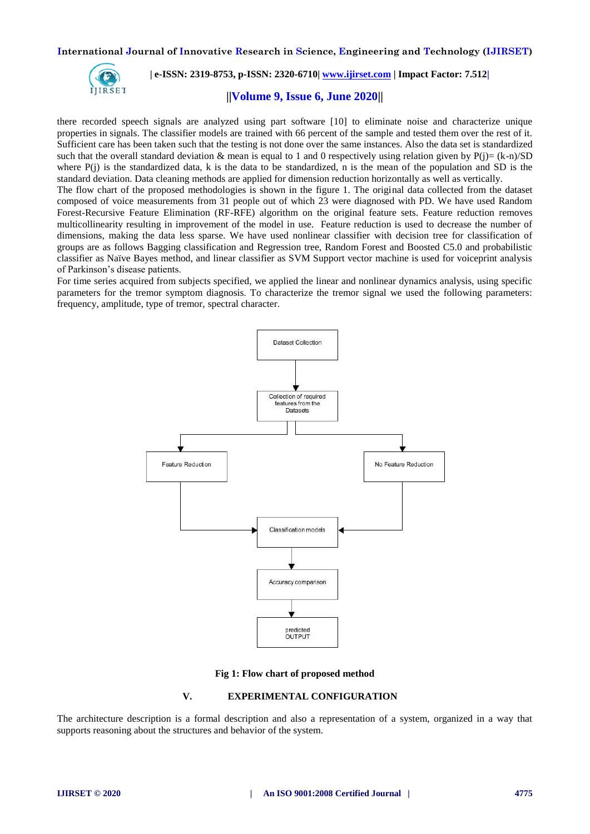

 **| e-ISSN: 2319-8753, p-ISSN: 2320-6710| [www.ijirset.com](http://www.ijirset.com/) | Impact Factor: 7.512|**

# **||Volume 9, Issue 6, June 2020||**

there recorded speech signals are analyzed using part software [10] to eliminate noise and characterize unique properties in signals. The classifier models are trained with 66 percent of the sample and tested them over the rest of it. Sufficient care has been taken such that the testing is not done over the same instances. Also the data set is standardized such that the overall standard deviation & mean is equal to 1 and 0 respectively using relation given by  $P(j)=(k-n)/SD$ where  $P(i)$  is the standardized data, k is the data to be standardized, n is the mean of the population and SD is the standard deviation. Data cleaning methods are applied for dimension reduction horizontally as well as vertically.

The flow chart of the proposed methodologies is shown in the figure 1. The original data collected from the dataset composed of voice measurements from 31 people out of which 23 were diagnosed with PD. We have used Random Forest-Recursive Feature Elimination (RF-RFE) algorithm on the original feature sets. Feature reduction removes multicollinearity resulting in improvement of the model in use. Feature reduction is used to decrease the number of dimensions, making the data less sparse. We have used nonlinear classifier with decision tree for classification of groups are as follows Bagging classification and Regression tree, Random Forest and Boosted C5.0 and probabilistic classifier as Naïve Bayes method, and linear classifier as SVM Support vector machine is used for voiceprint analysis of Parkinson's disease patients.

For time series acquired from subjects specified, we applied the linear and nonlinear dynamics analysis, using specific parameters for the tremor symptom diagnosis. To characterize the tremor signal we used the following parameters: frequency, amplitude, type of tremor, spectral character.



**Fig 1: Flow chart of proposed method**

#### **V. EXPERIMENTAL CONFIGURATION**

The architecture description is a formal description and also a representation of a system, organized in a way that supports reasoning about the structures and behavior of the system.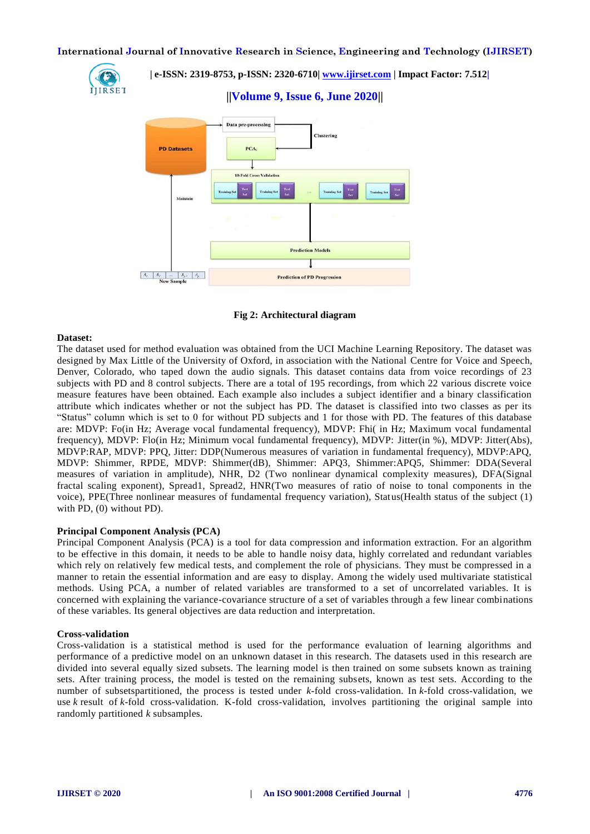

 **| e-ISSN: 2319-8753, p-ISSN: 2320-6710| [www.ijirset.com](http://www.ijirset.com/) | Impact Factor: 7.512|**

**||Volume 9, Issue 6, June 2020||** 



**Fig 2: Architectural diagram**

## **Dataset:**

The dataset used for method evaluation was obtained from the UCI Machine Learning Repository. The dataset was designed by Max Little of the University of Oxford, in association with the National Centre for Voice and Speech, Denver, Colorado, who taped down the audio signals. This dataset contains data from voice recordings of 23 subjects with PD and 8 control subjects. There are a total of 195 recordings, from which 22 various discrete voice measure features have been obtained. Each example also includes a subject identifier and a binary classification attribute which indicates whether or not the subject has PD. The dataset is classified into two classes as per its "Status" column which is set to 0 for without PD subjects and 1 for those with PD. The features of this database are: MDVP: Fo(in Hz; Average vocal fundamental frequency), MDVP: Fhi( in Hz; Maximum vocal fundamental frequency), MDVP: Flo(in Hz; Minimum vocal fundamental frequency), MDVP: Jitter(in %), MDVP: Jitter(Abs), MDVP:RAP, MDVP: PPQ, Jitter: DDP(Numerous measures of variation in fundamental frequency), MDVP:APQ, MDVP: Shimmer, RPDE, MDVP: Shimmer(dB), Shimmer: APQ3, Shimmer: APQ5, Shimmer: DDA(Several measures of variation in amplitude), NHR, D2 (Two nonlinear dynamical complexity measures), DFA(Signal fractal scaling exponent), Spread1, Spread2, HNR(Two measures of ratio of noise to tonal components in the voice), PPE(Three nonlinear measures of fundamental frequency variation), Status(Health status of the subject (1) with PD, (0) without PD).

# **Principal Component Analysis (PCA)**

Principal Component Analysis (PCA) is a tool for data compression and information extraction. For an algorithm to be effective in this domain, it needs to be able to handle noisy data, highly correlated and redundant variables which rely on relatively few medical tests, and complement the role of physicians. They must be compressed in a manner to retain the essential information and are easy to display. Among the widely used multivariate statistical methods. Using PCA, a number of related variables are transformed to a set of uncorrelated variables. It is concerned with explaining the variance-covariance structure of a set of variables through a few linear combinations of these variables. Its general objectives are data reduction and interpretation.

#### **Cross-validation**

Cross-validation is a statistical method is used for the performance evaluation of learning algorithms and performance of a predictive model on an unknown dataset in this research. The datasets used in this research are divided into several equally sized subsets. The learning model is then trained on some subsets known as training sets. After training process, the model is tested on the remaining subsets, known as test sets. According to the number of subsetspartitioned, the process is tested under *k*-fold cross-validation. In *k*-fold cross-validation, we use *k* result of *k*-fold cross-validation. K-fold cross-validation, involves partitioning the original sample into randomly partitioned *k* subsamples.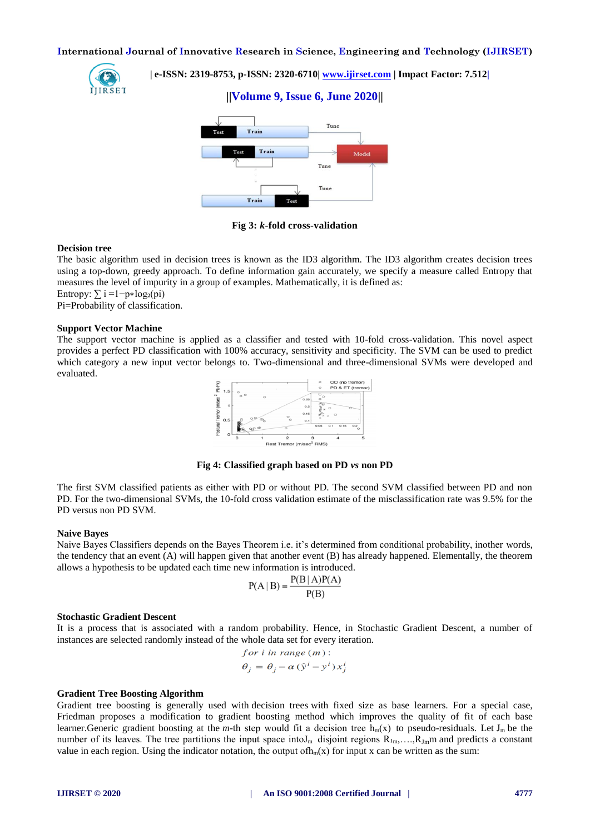**||Volume 9, Issue 6, June 2020||** 



 **| e-ISSN: 2319-8753, p-ISSN: 2320-6710| [www.ijirset.com](http://www.ijirset.com/) | Impact Factor: 7.512|**

Tune Train Train Model  $T_{1111}$ Tune Trait

**Fig 3:** *k***-fold cross-validation**

#### **Decision tree**

The basic algorithm used in decision trees is known as the ID3 algorithm. The ID3 algorithm creates decision trees using a top-down, greedy approach. To define information gain accurately, we specify a measure called Entropy that measures the level of impurity in a group of examples. Mathematically, it is defined as:

Entropy:  $\sum i = 1-p * log_2(p_i)$ 

Pi=Probability of classification.

#### **Support Vector Machine**

The support vector machine is applied as a classifier and tested with 10-fold cross-validation. This novel aspect provides a perfect PD classification with 100% accuracy, sensitivity and specificity. The SVM can be used to predict which category a new input vector belongs to. Two-dimensional and three-dimensional SVMs were developed and evaluated.



**Fig 4: Classified graph based on PD** *vs* **non PD**

The first SVM classified patients as either with PD or without PD. The second SVM classified between PD and non PD. For the two-dimensional SVMs, the 10-fold cross validation estimate of the misclassification rate was 9.5% for the PD versus non PD SVM.

#### **Naive Bayes**

Naive Bayes Classifiers depends on the Bayes Theorem i.e. it's determined from conditional probability, inother words, the tendency that an event (A) will happen given that another event (B) has already happened. Elementally, the theorem allows a hypothesis to be updated each time new information is introduced.

$$
P(A | B) = \frac{P(B | A)P(A)}{P(B)}
$$

#### **Stochastic Gradient Descent**

It is a process that is associated with a random probability. Hence, in Stochastic Gradient Descent, a number of instances are selected randomly instead of the whole data set for every iteration.

for *i* in range 
$$
(m)
$$
:  
\n $\theta_i = \theta_i - \alpha (\hat{y}^i - y^i) x_i^i$ 

#### **Gradient Tree Boosting Algorithm**

Gradient tree boosting is generally used with [decision trees](https://en.wikipedia.org/wiki/Decision_tree_learning) with fixed size as base learners. For a special case, Friedman proposes a modification to gradient boosting method which improves the quality of fit of each base learner.Generic gradient boosting at the *m*-th step would fit a decision tree  $h_m(x)$  to pseudo-residuals. Let  $J_m$  be the number of its leaves. The tree partitions the input space into I<sub>m</sub> disjoint regions  $R_{1m},...,R_{1m}$  and predicts a constant value in each region. Using the [indicator notation,](https://en.wikipedia.org/wiki/Indicator_notation) the output of  $h_m(x)$  for input x can be written as the sum: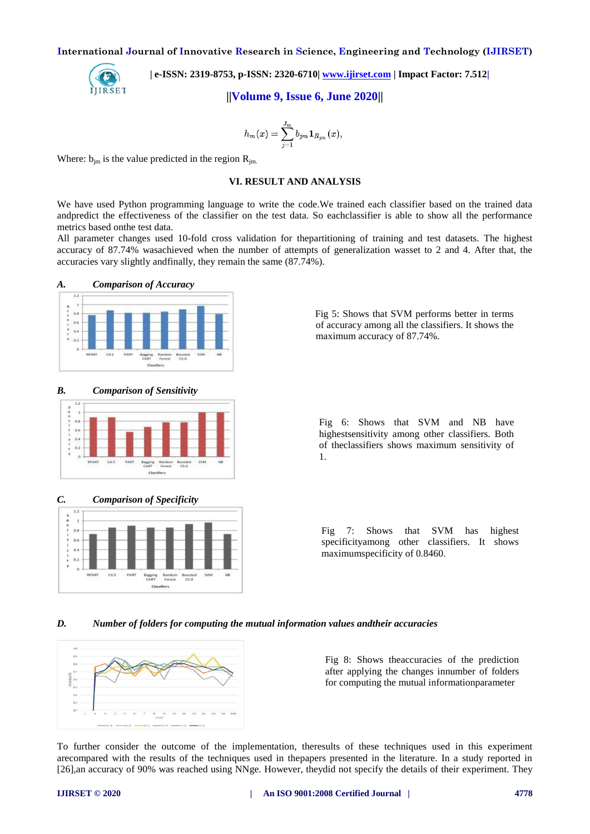

 **| e-ISSN: 2319-8753, p-ISSN: 2320-6710| [www.ijirset.com](http://www.ijirset.com/) | Impact Factor: 7.512|**

**||Volume 9, Issue 6, June 2020||** 

$$
h_m(x)=\sum_{j=1}^{J_m}b_{jm}\mathbf{1}_{R_{jm}}(x),
$$

Where:  $b_{im}$  is the value predicted in the region  $R_{im}$ .

# **VI. RESULT AND ANALYSIS**

We have used Python programming language to write the code.We trained each classifier based on the trained data andpredict the effectiveness of the classifier on the test data. So eachclassifier is able to show all the performance metrics based onthe test data.

All parameter changes used 10-fold cross validation for thepartitioning of training and test datasets. The highest accuracy of 87.74% wasachieved when the number of attempts of generalization wasset to 2 and 4. After that, the accuracies vary slightly andfinally, they remain the same (87.74%).





*B. Comparison of Sensitivity*





Fig 5: Shows that SVM performs better in terms of accuracy among all the classifiers. It shows the

maximum accuracy of 87.74%.



# *C. Comparison of Specificity*



*D. Number of folders for computing the mutual information values andtheir accuracies*



Fig 8: Shows theaccuracies of the prediction after applying the changes innumber of folders for computing the mutual informationparameter

To further consider the outcome of the implementation, theresults of these techniques used in this experiment arecompared with the results of the techniques used in thepapers presented in the literature. In a study reported in [26],an accuracy of 90% was reached using NNge. However, theydid not specify the details of their experiment. They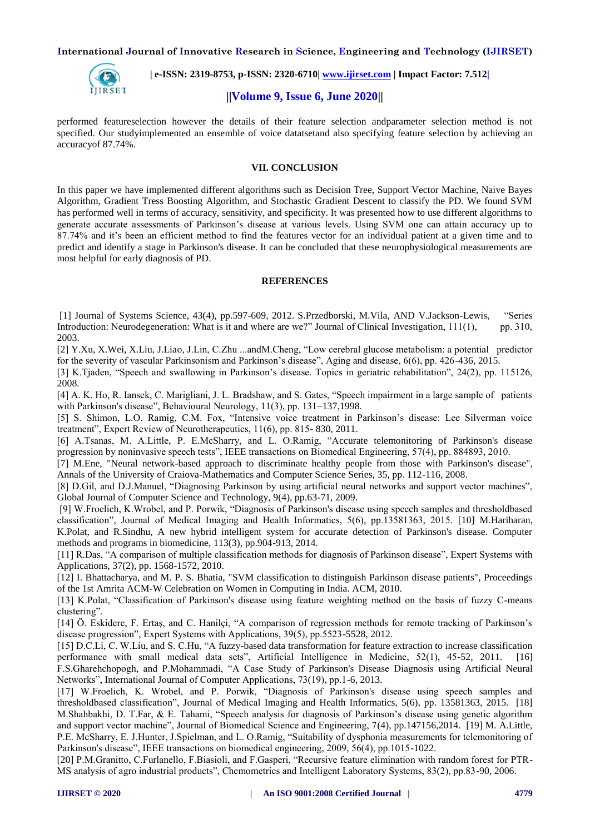

 **| e-ISSN: 2319-8753, p-ISSN: 2320-6710| [www.ijirset.com](http://www.ijirset.com/) | Impact Factor: 7.512|**

# **||Volume 9, Issue 6, June 2020||**

performed featureselection however the details of their feature selection andparameter selection method is not specified. Our studyimplemented an ensemble of voice datatsetand also specifying feature selection by achieving an accuracyof 87.74%.

# **VII. CONCLUSION**

In this paper we have implemented different algorithms such as Decision Tree, Support Vector Machine, Naive Bayes Algorithm, Gradient Tress Boosting Algorithm, and Stochastic Gradient Descent to classify the PD. We found SVM has performed well in terms of accuracy, sensitivity, and specificity. It was presented how to use different algorithms to generate accurate assessments of Parkinson's disease at various levels. Using SVM one can attain accuracy up to 87.74% and it's been an efficient method to find the features vector for an individual patient at a given time and to predict and identify a stage in Parkinson's disease. It can be concluded that these neurophysiological measurements are most helpful for early diagnosis of PD.

#### **REFERENCES**

[1] Journal of Systems Science, 43(4), pp.597-609, 2012. S.Przedborski, M.Vila, AND V.Jackson-Lewis, "Series Introduction: Neurodegeneration: What is it and where are we?" Journal of Clinical Investigation, 111(1), pp. 310, 2003.

[2] Y.Xu, X.Wei, X.Liu, J.Liao, J.Lin, C.Zhu ...andM.Cheng, "Low cerebral glucose metabolism: a potential predictor for the severity of vascular Parkinsonism and Parkinson's disease", Aging and disease, 6(6), pp. 426-436, 2015.

[3] K.Tjaden, "Speech and swallowing in Parkinson's disease. Topics in geriatric rehabilitation", 24(2), pp. 115126, 2008.

[4] A. K. Ho, R. Iansek, C. Marigliani, J. L. Bradshaw, and S. Gates, "Speech impairment in a large sample of patients with Parkinson's disease", Behavioural Neurology, 11(3), pp. 131–137,1998.

[5] S. Shimon, L.O. Ramig, C.M. Fox, "Intensive voice treatment in Parkinson's disease: Lee Silverman voice treatment", Expert Review of Neurotherapeutics, 11(6), pp. 815- 830, 2011.

[6] A.Tsanas, M. A.Little, P. E.McSharry, and L. O.Ramig, "Accurate telemonitoring of Parkinson's disease progression by noninvasive speech tests", IEEE transactions on Biomedical Engineering, 57(4), pp. 884893, 2010.

[7] M.Ene, "Neural network-based approach to discriminate healthy people from those with Parkinson's disease", Annals of the University of Craiova-Mathematics and Computer Science Series, 35, pp. 112-116, 2008.

[8] D.Gil, and D.J.Manuel, "Diagnosing Parkinson by using artificial neural networks and support vector machines", Global Journal of Computer Science and Technology, 9(4), pp.63-71, 2009.

[9] W.Froelich, K.Wrobel, and P. Porwik, "Diagnosis of Parkinson's disease using speech samples and thresholdbased classification", Journal of Medical Imaging and Health Informatics, 5(6), pp.13581363, 2015. [10] M.Hariharan, K.Polat, and R.Sindhu, A new hybrid intelligent system for accurate detection of Parkinson's disease. Computer methods and programs in biomedicine, 113(3), pp.904-913, 2014.

[11] R.Das, "A comparison of multiple classification methods for diagnosis of Parkinson disease", Expert Systems with Applications, 37(2), pp. 1568-1572, 2010.

[12] I. Bhattacharya, and M. P. S. Bhatia, "SVM classification to distinguish Parkinson disease patients", Proceedings of the 1st Amrita ACM-W Celebration on Women in Computing in India. ACM, 2010.

[13] K.Polat, "Classification of Parkinson's disease using feature weighting method on the basis of fuzzy C-means clustering".

[14] Ö. Eskidere, F. Ertaş, and C. Hanilçi, "A comparison of regression methods for remote tracking of Parkinson's disease progression", Expert Systems with Applications, 39(5), pp.5523-5528, 2012.

[15] D.C.Li, C. W.Liu, and S. C.Hu, "A fuzzy-based data transformation for feature extraction to increase classification performance with small medical data sets", Artificial Intelligence in Medicine, 52(1), 45-52, 2011. [16] F.S.Gharehchopogh, and P.Mohammadi, "A Case Study of Parkinson's Disease Diagnosis using Artificial Neural Networks", International Journal of Computer Applications, 73(19), pp.1-6, 2013.

[17] W.Froelich, K. Wrobel, and P. Porwik, "Diagnosis of Parkinson's disease using speech samples and thresholdbased classification", Journal of Medical Imaging and Health Informatics, 5(6), pp. 13581363, 2015. [18] M.Shahbakhi, D. T.Far, & E. Tahami, "Speech analysis for diagnosis of Parkinson's disease using genetic algorithm and support vector machine", Journal of Biomedical Science and Engineering, 7(4), pp.147156,2014. [19] M. A.Little, P.E. McSharry, E. J.Hunter, J.Spielman, and L. O.Ramig, "Suitability of dysphonia measurements for telemonitoring of Parkinson's disease", IEEE transactions on biomedical engineering, 2009, 56(4), pp.1015-1022.

[20] P.M.Granitto, C.Furlanello, F.Biasioli, and F.Gasperi, "Recursive feature elimination with random forest for PTR-MS analysis of agro industrial products", Chemometrics and Intelligent Laboratory Systems, 83(2), pp.83-90, 2006.